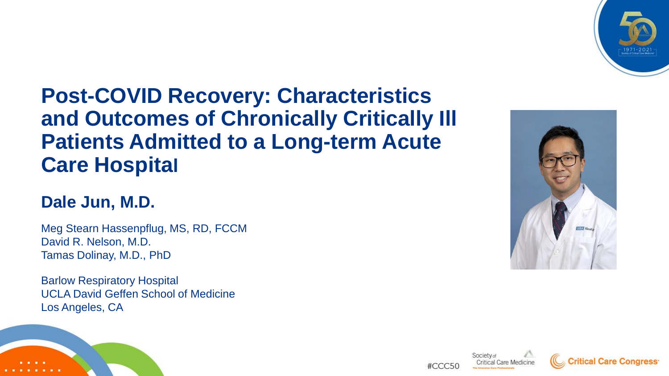

## **Post-COVID Recovery: Characteristics and Outcomes of Chronically Critically Ill Patients Admitted to a Long-term Acute Care Hospital**

### **Dale Jun, M.D.**

Meg Stearn Hassenpflug, MS, RD, FCCM David R. Nelson, M.D. Tamas Dolinay, M.D., PhD

Barlow Respiratory Hospital UCLA David Geffen School of Medicine Los Angeles, CA











#CCC50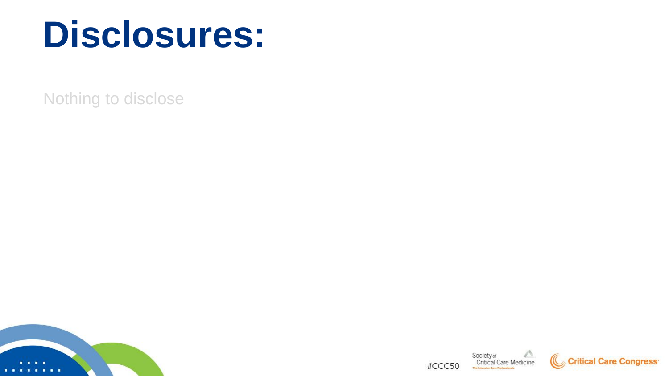# **Disclosures:**

Nothing to disclose



Society of<br>Critical Care Medicine #CCC50 The Internation Corp. Deviation



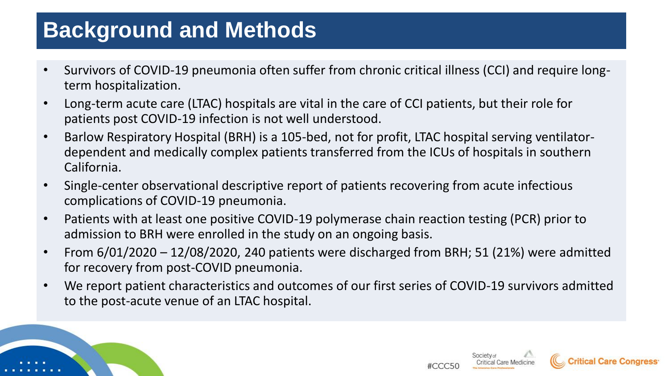## **Background and Methods**

- Survivors of COVID-19 pneumonia often suffer from chronic critical illness (CCI) and require longterm hospitalization.
- Long-term acute care (LTAC) hospitals are vital in the care of CCI patients, but their role for patients post COVID-19 infection is not well understood.
- Barlow Respiratory Hospital (BRH) is a 105-bed, not for profit, LTAC hospital serving ventilatordependent and medically complex patients transferred from the ICUs of hospitals in southern California.
- Single-center observational descriptive report of patients recovering from acute infectious complications of COVID-19 pneumonia.
- Patients with at least one positive COVID-19 polymerase chain reaction testing (PCR) prior to admission to BRH were enrolled in the study on an ongoing basis.
- From 6/01/2020 12/08/2020, 240 patients were discharged from BRH; 51 (21%) were admitted for recovery from post-COVID pneumonia.
- We report patient characteristics and outcomes of our first series of COVID-19 survivors admitted to the post-acute venue of an LTAC hospital.



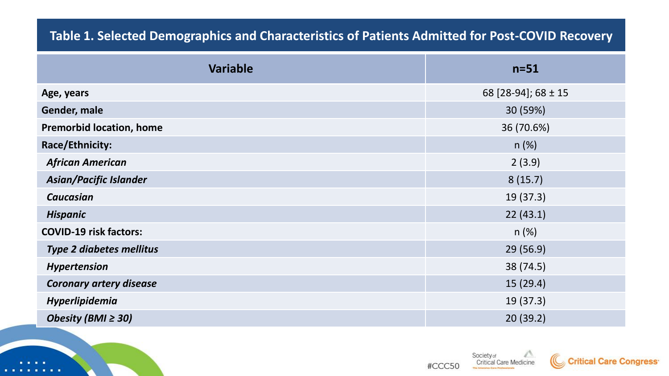#### **Table 1. Selected Demographics and Characteristics of Patients Admitted for Post-COVID Recovery**

| <b>Variable</b>                 | $n=51$              |
|---------------------------------|---------------------|
| Age, years                      | 68 [28-94]; 68 ± 15 |
| Gender, male                    | 30 (59%)            |
| <b>Premorbid location, home</b> | 36 (70.6%)          |
| Race/Ethnicity:                 | n(%)                |
| <b>African American</b>         | 2(3.9)              |
| <b>Asian/Pacific Islander</b>   | 8(15.7)             |
| <b>Caucasian</b>                | 19 (37.3)           |
| <b>Hispanic</b>                 | 22(43.1)            |
| <b>COVID-19 risk factors:</b>   | n(%)                |
| <b>Type 2 diabetes mellitus</b> | 29(56.9)            |
| <b>Hypertension</b>             | 38 (74.5)           |
| <b>Coronary artery disease</b>  | 15(29.4)            |
| Hyperlipidemia                  | 19(37.3)            |
| Obesity (BMI $\geq$ 30)         | 20(39.2)            |



Society of<br>Critical Care Medicine #CCC50 The Interester Corp. Declass

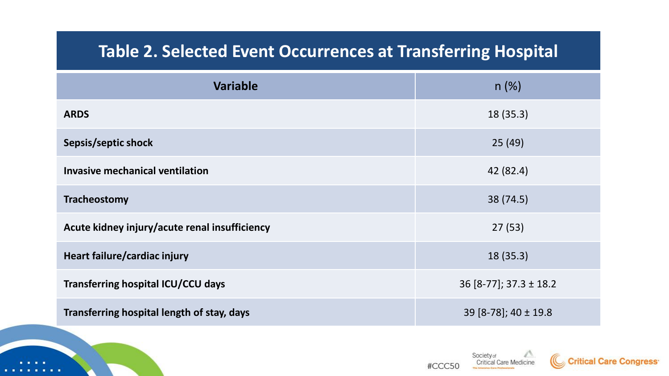## **Table 2. Selected Event Occurrences at Transferring Hospital**

| <b>Variable</b>                               | $n (\%)$                     |
|-----------------------------------------------|------------------------------|
| <b>ARDS</b>                                   | 18(35.3)                     |
| Sepsis/septic shock                           | 25(49)                       |
| <b>Invasive mechanical ventilation</b>        | 42 (82.4)                    |
| Tracheostomy                                  | 38 (74.5)                    |
| Acute kidney injury/acute renal insufficiency | 27(53)                       |
| Heart failure/cardiac injury                  | 18(35.3)                     |
| <b>Transferring hospital ICU/CCU days</b>     | $36$ [8-77]; $37.3 \pm 18.2$ |
| Transferring hospital length of stay, days    | 39 [8-78]; 40 ± 19.8         |





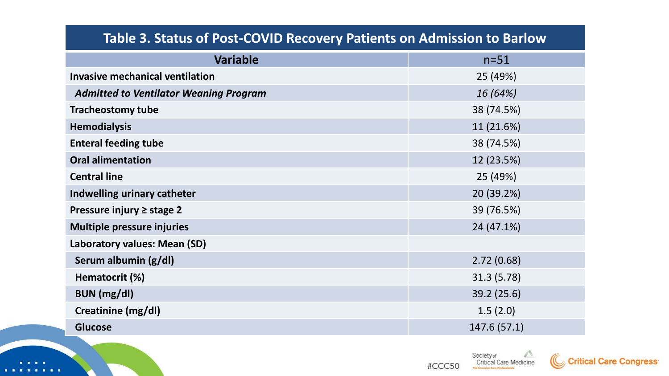| Table 3. Status of Post-COVID Recovery Patients on Admission to Barlow |              |  |
|------------------------------------------------------------------------|--------------|--|
| <b>Variable</b>                                                        | $n=51$       |  |
| <b>Invasive mechanical ventilation</b>                                 | 25 (49%)     |  |
| <b>Admitted to Ventilator Weaning Program</b>                          | 16 (64%)     |  |
| <b>Tracheostomy tube</b>                                               | 38 (74.5%)   |  |
| <b>Hemodialysis</b>                                                    | 11 (21.6%)   |  |
| <b>Enteral feeding tube</b>                                            | 38 (74.5%)   |  |
| <b>Oral alimentation</b>                                               | 12 (23.5%)   |  |
| <b>Central line</b>                                                    | 25 (49%)     |  |
| Indwelling urinary catheter                                            | 20 (39.2%)   |  |
| Pressure injury $\ge$ stage 2                                          | 39 (76.5%)   |  |
| <b>Multiple pressure injuries</b>                                      | 24 (47.1%)   |  |
| Laboratory values: Mean (SD)                                           |              |  |
| Serum albumin (g/dl)                                                   | 2.72(0.68)   |  |
| Hematocrit (%)                                                         | 31.3 (5.78)  |  |
| <b>BUN</b> (mg/dl)                                                     | 39.2 (25.6)  |  |
| Creatinine (mg/dl)                                                     | 1.5(2.0)     |  |
| <b>Glucose</b>                                                         | 147.6 (57.1) |  |



٠

. . . .

#CCC50

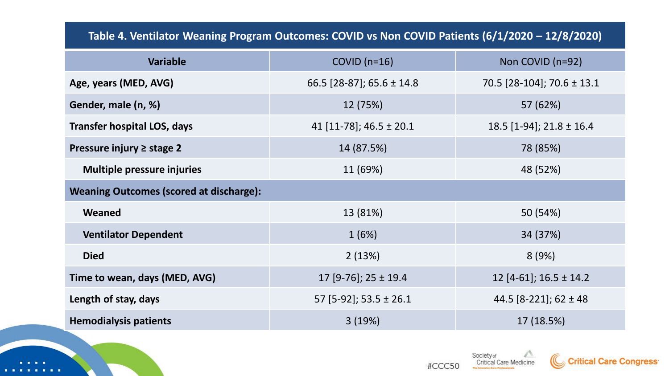#### **Table 4. Ventilator Weaning Program Outcomes: COVID vs Non COVID Patients (6/1/2020 – 12/8/2020)**

| <b>Variable</b>                                | COVID $(n=16)$              | Non COVID (n=92)            |  |
|------------------------------------------------|-----------------------------|-----------------------------|--|
| Age, years (MED, AVG)                          | 66.5 [28-87]; 65.6 ± 14.8   | 70.5 [28-104]; 70.6 ± 13.1  |  |
| Gender, male (n, %)                            | 12 (75%)                    | 57 (62%)                    |  |
| <b>Transfer hospital LOS, days</b>             | 41 [11-78]; 46.5 $\pm$ 20.1 | 18.5 $[1-94]$ ; 21.8 ± 16.4 |  |
| Pressure injury ≥ stage 2                      | 14 (87.5%)<br>78 (85%)      |                             |  |
| <b>Multiple pressure injuries</b>              | 11 (69%)<br>48 (52%)        |                             |  |
| <b>Weaning Outcomes (scored at discharge):</b> |                             |                             |  |
| Weaned                                         | 13 (81%)                    | 50 (54%)                    |  |
| <b>Ventilator Dependent</b>                    | 34 (37%)<br>1(6%)           |                             |  |
| <b>Died</b>                                    | 2(13%)<br>8(9%)             |                             |  |
| Time to wean, days (MED, AVG)                  | 17 [9-76]; 25 ± 19.4        | 12 [4-61]; $16.5 \pm 14.2$  |  |
| Length of stay, days                           | 57 [5-92]; 53.5 $\pm$ 26.1  | 44.5 $[8-221]$ ; 62 ± 48    |  |
| <b>Hemodialysis patients</b>                   | 3(19%)                      | 17 (18.5%)                  |  |





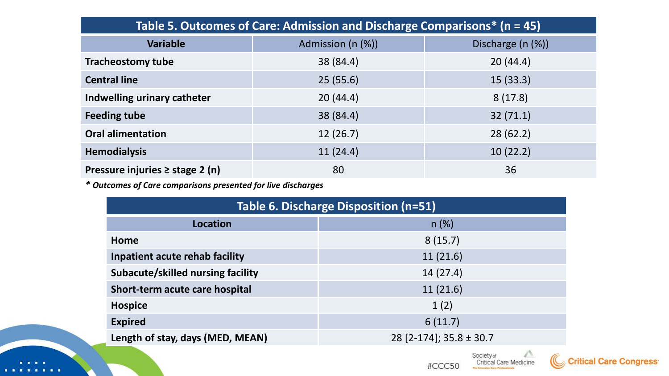| Table 5. Outcomes of Care: Admission and Discharge Comparisons* (n = 45) |                      |                   |  |  |
|--------------------------------------------------------------------------|----------------------|-------------------|--|--|
| <b>Variable</b>                                                          | Admission (n (%))    | Discharge (n (%)) |  |  |
| <b>Tracheostomy tube</b>                                                 | 38 (84.4)            | 20(44.4)          |  |  |
| <b>Central line</b>                                                      | 15(33.3)<br>25(55.6) |                   |  |  |
| Indwelling urinary catheter                                              | 20(44.4)             | 8(17.8)           |  |  |
| <b>Feeding tube</b>                                                      | 38 (84.4)            | 32(71.1)          |  |  |
| <b>Oral alimentation</b>                                                 | 12(26.7)             | 28(62.2)          |  |  |
| <b>Hemodialysis</b>                                                      | 10(22.2)<br>11(24.4) |                   |  |  |
| Pressure injuries $\geq$ stage 2 (n)                                     | 80                   | 36                |  |  |

*\* Outcomes of Care comparisons presented for live discharges*

 $\blacksquare$ 

| Table 6. Discharge Disposition (n=51) |                             |  |
|---------------------------------------|-----------------------------|--|
| Location                              | $n (\%)$                    |  |
| Home                                  | 8(15.7)                     |  |
| Inpatient acute rehab facility        | 11(21.6)                    |  |
| Subacute/skilled nursing facility     | 14 (27.4)                   |  |
| Short-term acute care hospital        | 11(21.6)                    |  |
| <b>Hospice</b>                        | 1(2)                        |  |
| <b>Expired</b>                        | 6(11.7)                     |  |
| Length of stay, days (MED, MEAN)      | 28 [2-174]; 35.8 $\pm$ 30.7 |  |

Society of<br>Critical Care Medicine #CCC50

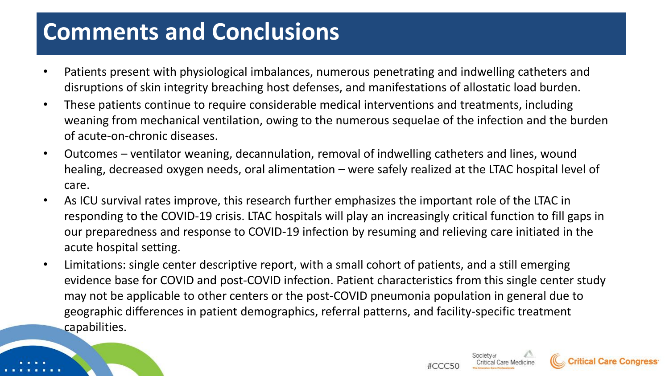# **Comments and Conclusions**

- Patients present with physiological imbalances, numerous penetrating and indwelling catheters and disruptions of skin integrity breaching host defenses, and manifestations of allostatic load burden.
- These patients continue to require considerable medical interventions and treatments, including weaning from mechanical ventilation, owing to the numerous sequelae of the infection and the burden of acute-on-chronic diseases.
- Outcomes ventilator weaning, decannulation, removal of indwelling catheters and lines, wound healing, decreased oxygen needs, oral alimentation – were safely realized at the LTAC hospital level of care.
- As ICU survival rates improve, this research further emphasizes the important role of the LTAC in responding to the COVID-19 crisis. LTAC hospitals will play an increasingly critical function to fill gaps in our preparedness and response to COVID-19 infection by resuming and relieving care initiated in the acute hospital setting.
- Limitations: single center descriptive report, with a small cohort of patients, and a still emerging evidence base for COVID and post-COVID infection. Patient characteristics from this single center study may not be applicable to other centers or the post-COVID pneumonia population in general due to geographic differences in patient demographics, referral patterns, and facility-specific treatment capabilities.